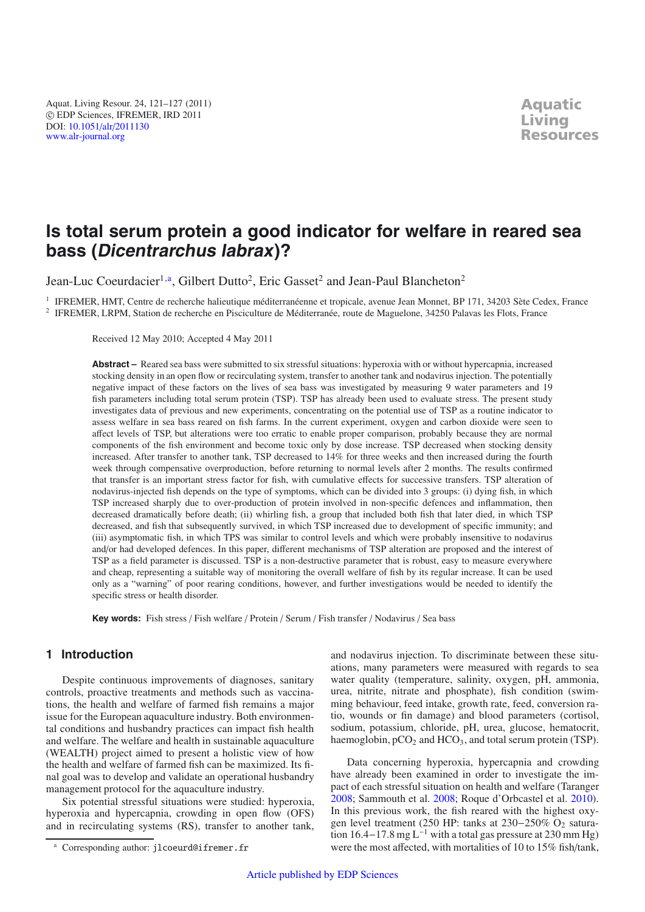Aquat. Living Resour. 24, 121–127 (2011) -c EDP Sciences, IFREMER, IRD 2011 DOI: 10.1051/alr/[2011130](http://dx.doi.org/10.1051/alr/2011130) [www.alr-journal.org](http://www.alr-journal.org)

# **Is total serum protein a good indicator for welfare in reared sea bass (Dicentrarchus labrax)?**

Jean-Luc Coeurdacier<sup>1,a</sup>, Gilbert Dutto<sup>2</sup>, Eric Gasset<sup>2</sup> and Jean-Paul Blancheton<sup>2</sup>

<sup>1</sup> IFREMER, HMT, Centre de recherche halieutique méditerranéenne et tropicale, avenue Jean Monnet, BP 171, 34203 Sète Cedex, France <sup>2</sup> IFREMER, LRPM, Station de recherche en Pisciculture de Méditerranée, route de Maguelone, 34250 Palavas les Flots, France

Received 12 May 2010; Accepted 4 May 2011

Abstract – Reared sea bass were submitted to six stressful situations: hyperoxia with or without hypercapnia, increased stocking density in an open flow or recirculating system, transfer to another tank and nodavirus injection. The potentially negative impact of these factors on the lives of sea bass was investigated by measuring 9 water parameters and 19 fish parameters including total serum protein (TSP). TSP has already been used to evaluate stress. The present study investigates data of previous and new experiments, concentrating on the potential use of TSP as a routine indicator to assess welfare in sea bass reared on fish farms. In the current experiment, oxygen and carbon dioxide were seen to affect levels of TSP, but alterations were too erratic to enable proper comparison, probably because they are normal components of the fish environment and become toxic only by dose increase. TSP decreased when stocking density increased. After transfer to another tank, TSP decreased to 14% for three weeks and then increased during the fourth week through compensative overproduction, before returning to normal levels after 2 months. The results confirmed that transfer is an important stress factor for fish, with cumulative effects for successive transfers. TSP alteration of nodavirus-injected fish depends on the type of symptoms, which can be divided into 3 groups: (i) dying fish, in which TSP increased sharply due to over-production of protein involved in non-specific defences and inflammation, then decreased dramatically before death; (ii) whirling fish, a group that included both fish that later died, in which TSP decreased, and fish that subsequently survived, in which TSP increased due to development of specific immunity; and (iii) asymptomatic fish, in which TPS was similar to control levels and which were probably insensitive to nodavirus and/or had developed defences. In this paper, different mechanisms of TSP alteration are proposed and the interest of TSP as a field parameter is discussed. TSP is a non-destructive parameter that is robust, easy to measure everywhere and cheap, representing a suitable way of monitoring the overall welfare of fish by its regular increase. It can be used only as a "warning" of poor rearing conditions, however, and further investigations would be needed to identify the specific stress or health disorder.

**Key words:** Fish stress / Fish welfare / Protein / Serum / Fish transfer / Nodavirus / Sea bass

## **1 Introduction**

Despite continuous improvements of diagnoses, sanitary controls, proactive treatments and methods such as vaccinations, the health and welfare of farmed fish remains a major issue for the European aquaculture industry. Both environmental conditions and husbandry practices can impact fish health and welfare. The welfare and health in sustainable aquaculture (WEALTH) project aimed to present a holistic view of how the health and welfare of farmed fish can be maximized. Its final goal was to develop and validate an operational husbandry management protocol for the aquaculture industry.

Six potential stressful situations were studied: hyperoxia, hyperoxia and hypercapnia, crowding in open flow (OFS) and in recirculating systems (RS), transfer to another tank, and nodavirus injection. To discriminate between these situations, many parameters were measured with regards to sea water quality (temperature, salinity, oxygen, pH, ammonia, urea, nitrite, nitrate and phosphate), fish condition (swimming behaviour, feed intake, growth rate, feed, conversion ratio, wounds or fin damage) and blood parameters (cortisol, sodium, potassium, chloride, pH, urea, glucose, hematocrit, haemoglobin, pCO<sub>2</sub> and HCO<sub>3</sub>, and total serum protein (TSP).

Data concerning hyperoxia, hypercapnia and crowding have already been examined in order to investigate the impact of each stressful situation on health and welfare (Taranger [2008;](#page-6-0) Sammouth et al. [2008](#page-6-1); Roque d'Orbcastel et al. [2010\)](#page-6-2). In this previous work, the fish reared with the highest oxygen level treatment (250 HP: tanks at 230–250% O<sub>2</sub> saturation 16.4−17.8 mg  $L^{-1}$  with a total gas pressure at 230 mm Hg) were the most affected, with mortalities of 10 to 15% fish/tank,

<sup>a</sup> Corresponding author: jlcoeurd@ifremer.fr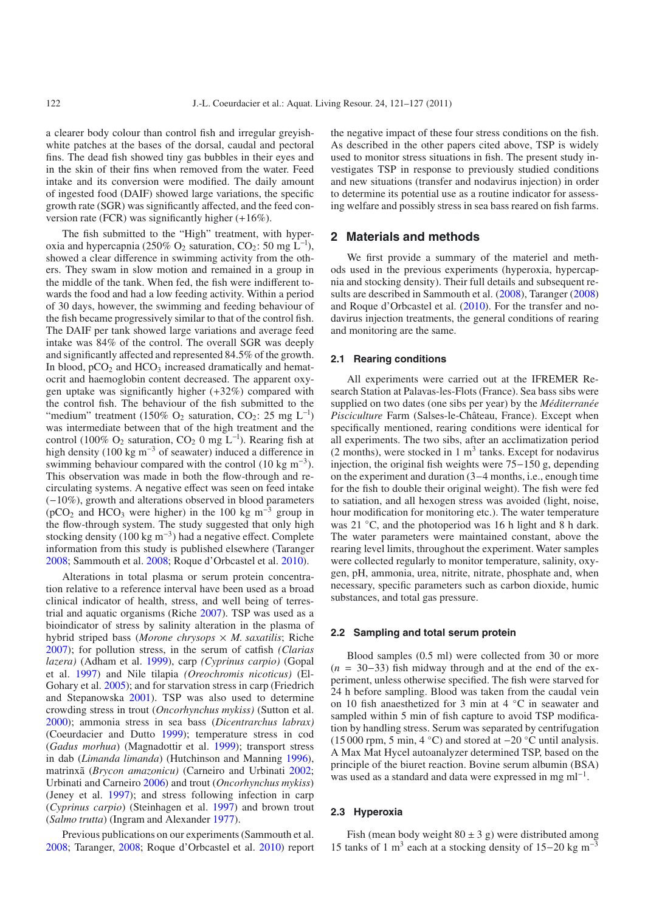a clearer body colour than control fish and irregular greyishwhite patches at the bases of the dorsal, caudal and pectoral fins. The dead fish showed tiny gas bubbles in their eyes and in the skin of their fins when removed from the water. Feed intake and its conversion were modified. The daily amount of ingested food (DAIF) showed large variations, the specific growth rate (SGR) was significantly affected, and the feed conversion rate (FCR) was significantly higher (+16%).

The fish submitted to the "High" treatment, with hyperoxia and hypercapnia (250%  $O_2$  saturation, CO<sub>2</sub>: 50 mg L<sup>-1</sup>), showed a clear difference in swimming activity from the others. They swam in slow motion and remained in a group in the middle of the tank. When fed, the fish were indifferent towards the food and had a low feeding activity. Within a period of 30 days, however, the swimming and feeding behaviour of the fish became progressively similar to that of the control fish. The DAIF per tank showed large variations and average feed intake was 84% of the control. The overall SGR was deeply and significantly affected and represented 84.5% of the growth. In blood,  $pCO<sub>2</sub>$  and  $HCO<sub>3</sub>$  increased dramatically and hematocrit and haemoglobin content decreased. The apparent oxygen uptake was significantly higher (+32%) compared with the control fish. The behaviour of the fish submitted to the "medium" treatment (150%  $O_2$  saturation,  $CO_2$ : 25 mg L<sup>-l</sup>) was intermediate between that of the high treatment and the control (100% O<sub>2</sub> saturation, CO<sub>2</sub> 0 mg L<sup>-1</sup>). Rearing fish at high density (100 kg m<sup>-3</sup> of seawater) induced a difference in swimming behaviour compared with the control (10 kg m<sup>-3</sup>). This observation was made in both the flow-through and recirculating systems. A negative effect was seen on feed intake (−10%), growth and alterations observed in blood parameters ( $pCO<sub>2</sub>$  and HCO<sub>3</sub> were higher) in the 100 kg m<sup>-3</sup> group in the flow-through system. The study suggested that only high stocking density (100 kg m<sup>-3</sup>) had a negative effect. Complete information from this study is published elsewhere (Taranger [2008;](#page-6-0) Sammouth et al. [2008](#page-6-1); Roque d'Orbcastel et al. [2010\)](#page-6-2).

Alterations in total plasma or serum protein concentration relative to a reference interval have been used as a broad clinical indicator of health, stress, and well being of terrestrial and aquatic organisms (Riche [2007\)](#page-6-3). TSP was used as a bioindicator of stress by salinity alteration in the plasma of hybrid striped bass (*Morone chrysops* × *M. saxatilis*; Riche [2007\)](#page-6-3); for pollution stress, in the serum of catfish *(Clarias lazera)* (Adham et al. [1999](#page-6-4)), carp *(Cyprinus carpio)* (Gopal et al. [1997\)](#page-6-5) and Nile tilapia *(Oreochromis nicoticus)* (El-Gohary et al. [2005](#page-6-6)); and for starvation stress in carp (Friedrich and Stepanowska [2001](#page-6-7)). TSP was also used to determine crowding stress in trout (*Oncorhynchus mykiss)* (Sutton et al. [2000\)](#page-6-8); ammonia stress in sea bass (*Dicentrarchus labrax)* (Coeurdacier and Dutto [1999\)](#page-6-9); temperature stress in cod (*Gadus morhua*) (Magnadottir et al. [1999\)](#page-6-10); transport stress in dab (*Limanda limanda*) (Hutchinson and Manning [1996](#page-6-11)), matrinxã (*Brycon amazonicu)* (Carneiro and Urbinati [2002](#page-6-12); Urbinati and Carneiro [2006\)](#page-6-13) and trout (*Oncorhynchus mykiss*) (Jeney et al. [1997\)](#page-6-14); and stress following infection in carp (*Cyprinus carpio*) (Steinhagen et al. [1997](#page-6-15)) and brown trout (*Salmo trutta*) (Ingram and Alexander [1977\)](#page-6-16).

Previous publications on our experiments (Sammouth et al. [2008;](#page-6-1) Taranger, [2008;](#page-6-0) Roque d'Orbcastel et al. [2010](#page-6-2)) report the negative impact of these four stress conditions on the fish. As described in the other papers cited above, TSP is widely used to monitor stress situations in fish. The present study investigates TSP in response to previously studied conditions and new situations (transfer and nodavirus injection) in order to determine its potential use as a routine indicator for assessing welfare and possibly stress in sea bass reared on fish farms.

## **2 Materials and methods**

We first provide a summary of the materiel and methods used in the previous experiments (hyperoxia, hypercapnia and stocking density). Their full details and subsequent results are described in Sammouth et al. [\(2008\)](#page-6-1), Taranger [\(2008\)](#page-6-0) and Roque d'Orbcastel et al. [\(2010\)](#page-6-2). For the transfer and nodavirus injection treatments, the general conditions of rearing and monitoring are the same.

## **2.1 Rearing conditions**

All experiments were carried out at the IFREMER Research Station at Palavas-les-Flots (France). Sea bass sibs were supplied on two dates (one sibs per year) by the *Méditerranée Pisciculture* Farm (Salses-le-Château, France). Except when specifically mentioned, rearing conditions were identical for all experiments. The two sibs, after an acclimatization period  $(2$  months), were stocked in 1 m<sup>3</sup> tanks. Except for nodavirus injection, the original fish weights were 75−150 g, depending on the experiment and duration (3−4 months, i.e., enough time for the fish to double their original weight). The fish were fed to satiation, and all hexogen stress was avoided (light, noise, hour modification for monitoring etc.). The water temperature was 21 °C, and the photoperiod was 16 h light and 8 h dark. The water parameters were maintained constant, above the rearing level limits, throughout the experiment. Water samples were collected regularly to monitor temperature, salinity, oxygen, pH, ammonia, urea, nitrite, nitrate, phosphate and, when necessary, specific parameters such as carbon dioxide, humic substances, and total gas pressure.

#### **2.2 Sampling and total serum protein**

Blood samples (0.5 ml) were collected from 30 or more (*n* = 30−33) fish midway through and at the end of the experiment, unless otherwise specified. The fish were starved for 24 h before sampling. Blood was taken from the caudal vein on 10 fish anaesthetized for 3 min at 4 ◦C in seawater and sampled within 5 min of fish capture to avoid TSP modification by handling stress. Serum was separated by centrifugation (15 000 rpm, 5 min, 4 °C) and stored at  $-20$  °C until analysis. A Max Mat Hycel autoanalyzer determined TSP, based on the principle of the biuret reaction. Bovine serum albumin (BSA) was used as a standard and data were expressed in mg ml<sup>-1</sup>.

## **2.3 Hyperoxia**

Fish (mean body weight  $80 \pm 3$  g) were distributed among 15 tanks of 1 m<sup>3</sup> each at a stocking density of 15−20 kg m<sup>-3</sup>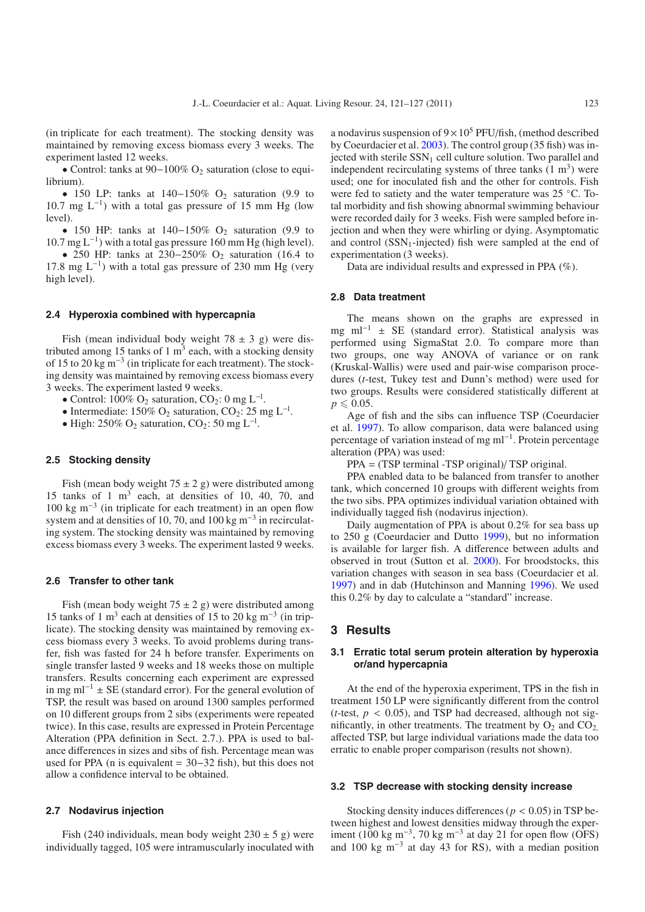(in triplicate for each treatment). The stocking density was maintained by removing excess biomass every 3 weeks. The experiment lasted 12 weeks.

• Control: tanks at 90−100% O2 saturation (close to equilibrium).

• 150 LP: tanks at  $140-150\%$  O<sub>2</sub> saturation (9.9 to 10.7 mg  $L^{-1}$ ) with a total gas pressure of 15 mm Hg (low level).

• 150 HP: tanks at  $140-150\%$  O<sub>2</sub> saturation (9.9 to 10.7 mg  $L^{-1}$ ) with a total gas pressure 160 mm Hg (high level).

• 250 HP: tanks at 230–250% O<sub>2</sub> saturation (16.4 to 17.8 mg L<sup>-1</sup>) with a total gas pressure of 230 mm Hg (very high level).

## **2.4 Hyperoxia combined with hypercapnia**

Fish (mean individual body weight  $78 \pm 3$  g) were distributed among 15 tanks of 1  $m<sup>3</sup>$  each, with a stocking density of 15 to 20 kg m−<sup>3</sup> (in triplicate for each treatment). The stocking density was maintained by removing excess biomass every 3 weeks. The experiment lasted 9 weeks.

- Control: 100% O<sub>2</sub> saturation, CO<sub>2</sub>: 0 mg L<sup>-1</sup>.
- Intermediate: 150% O<sub>2</sub> saturation, CO<sub>2</sub>: 25 mg L<sup>-1</sup>.
- High: 250% O<sub>2</sub> saturation, CO<sub>2</sub>: 50 mg L<sup>-1</sup>.

#### **2.5 Stocking density**

Fish (mean body weight  $75 \pm 2$  g) were distributed among 15 tanks of 1  $m<sup>3</sup>$  each, at densities of 10, 40, 70, and 100 kg m−<sup>3</sup> (in triplicate for each treatment) in an open flow system and at densities of 10, 70, and 100 kg m<sup>-3</sup> in recirculating system. The stocking density was maintained by removing excess biomass every 3 weeks. The experiment lasted 9 weeks.

#### **2.6 Transfer to other tank**

Fish (mean body weight  $75 \pm 2$  g) were distributed among 15 tanks of 1 m<sup>3</sup> each at densities of 15 to 20 kg m<sup>-3</sup> (in triplicate). The stocking density was maintained by removing excess biomass every 3 weeks. To avoid problems during transfer, fish was fasted for 24 h before transfer. Experiments on single transfer lasted 9 weeks and 18 weeks those on multiple transfers. Results concerning each experiment are expressed in mg ml<sup>-1</sup> ± SE (standard error). For the general evolution of TSP, the result was based on around 1300 samples performed on 10 different groups from 2 sibs (experiments were repeated twice). In this case, results are expressed in Protein Percentage Alteration (PPA definition in Sect. 2.7.). PPA is used to balance differences in sizes and sibs of fish. Percentage mean was used for PPA (n is equivalent = 30−32 fish), but this does not allow a confidence interval to be obtained.

### **2.7 Nodavirus injection**

Fish (240 individuals, mean body weight  $230 \pm 5$  g) were individually tagged, 105 were intramuscularly inoculated with

a nodavirus suspension of  $9 \times 10^5$  PFU/fish, (method described by Coeurdacier et al. [2003\)](#page-6-17). The control group (35 fish) was injected with sterile  $SSN<sub>1</sub>$  cell culture solution. Two parallel and independent recirculating systems of three tanks  $(1 \text{ m}^3)$  were used; one for inoculated fish and the other for controls. Fish were fed to satiety and the water temperature was 25 ◦C. Total morbidity and fish showing abnormal swimming behaviour were recorded daily for 3 weeks. Fish were sampled before injection and when they were whirling or dying. Asymptomatic and control  $(SSN_1$ -injected) fish were sampled at the end of experimentation (3 weeks).

Data are individual results and expressed in PPA (%).

#### **2.8 Data treatment**

The means shown on the graphs are expressed in mg ml<sup>-1</sup> ± SE (standard error). Statistical analysis was performed using SigmaStat 2.0. To compare more than two groups, one way ANOVA of variance or on rank (Kruskal-Wallis) were used and pair-wise comparison procedures (*t*-test, Tukey test and Dunn's method) were used for two groups. Results were considered statistically different at  $p \leqslant 0.05$ .

Age of fish and the sibs can influence TSP (Coeurdacier et al. [1997](#page-6-18)). To allow comparison, data were balanced using percentage of variation instead of mg ml−1. Protein percentage alteration (PPA) was used:

PPA = (TSP terminal -TSP original)/ TSP original.

PPA enabled data to be balanced from transfer to another tank, which concerned 10 groups with different weights from the two sibs. PPA optimizes individual variation obtained with individually tagged fish (nodavirus injection).

Daily augmentation of PPA is about 0.2% for sea bass up to 250 g (Coeurdacier and Dutto [1999\)](#page-6-9), but no information is available for larger fish. A difference between adults and observed in trout (Sutton et al. [2000\)](#page-6-8). For broodstocks, this variation changes with season in sea bass (Coeurdacier et al. [1997\)](#page-6-18) and in dab (Hutchinson and Manning [1996\)](#page-6-11). We used this 0.2% by day to calculate a "standard" increase.

#### **3 Results**

## **3.1 Erratic total serum protein alteration by hyperoxia or/and hypercapnia**

At the end of the hyperoxia experiment, TPS in the fish in treatment 150 LP were significantly different from the control (*t*-test,  $p < 0.05$ ), and TSP had decreased, although not significantly, in other treatments. The treatment by  $O_2$  and  $CO_2$ . affected TSP, but large individual variations made the data too erratic to enable proper comparison (results not shown).

#### **3.2 TSP decrease with stocking density increase**

Stocking density induces differences ( $p < 0.05$ ) in TSP between highest and lowest densities midway through the experiment (100 kg m<sup>-3</sup>, 70 kg m<sup>-3</sup> at day 21 for open flow (OFS) and 100 kg m<sup>-3</sup> at day 43 for RS), with a median position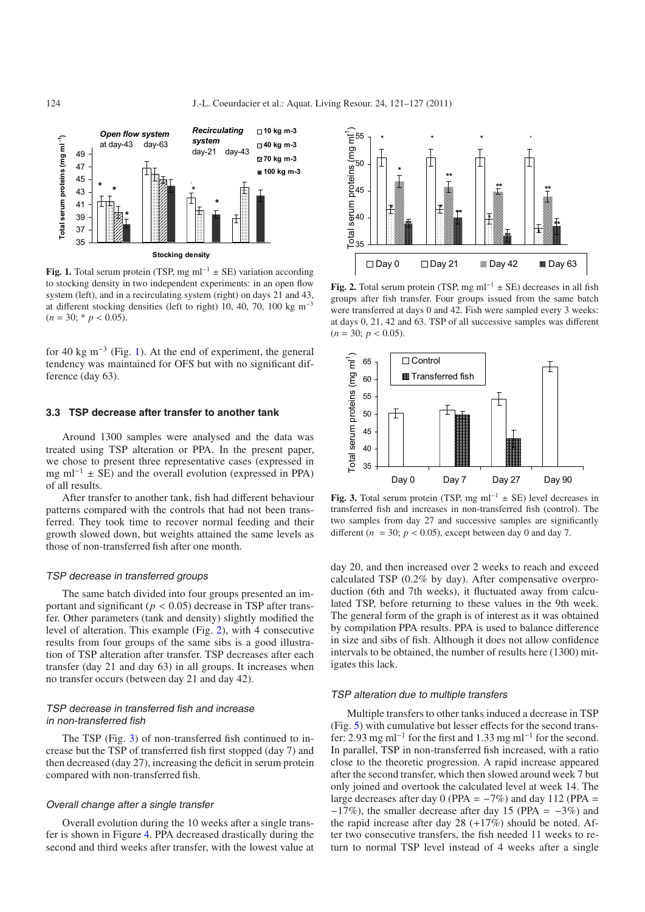<span id="page-3-0"></span>

**Fig. 1.** Total serum protein (TSP, mg ml<sup>-1</sup>  $\pm$  SE) variation according to stocking density in two independent experiments: in an open flow system (left), and in a recirculating system (right) on days 21 and 43, at different stocking densities (left to right) 10, 40, 70, 100 kg  $m<sup>-3</sup>$  $(n = 30; * p < 0.05)$ .

for 40 kg m<sup>-3</sup> (Fig. [1\)](#page-3-0). At the end of experiment, the general tendency was maintained for OFS but with no significant difference (day 63).

## **3.3 TSP decrease after transfer to another tank**

Around 1300 samples were analysed and the data was treated using TSP alteration or PPA. In the present paper, we chose to present three representative cases (expressed in mg ml<sup>-1</sup>  $\pm$  SE) and the overall evolution (expressed in PPA) of all results.

After transfer to another tank, fish had different behaviour patterns compared with the controls that had not been transferred. They took time to recover normal feeding and their growth slowed down, but weights attained the same levels as those of non-transferred fish after one month.

#### TSP decrease in transferred groups

The same batch divided into four groups presented an important and significant ( $p < 0.05$ ) decrease in TSP after transfer. Other parameters (tank and density) slightly modified the level of alteration. This example (Fig. [2\)](#page-3-1), with 4 consecutive results from four groups of the same sibs is a good illustration of TSP alteration after transfer. TSP decreases after each transfer (day 21 and day 63) in all groups. It increases when no transfer occurs (between day 21 and day 42).

## TSP decrease in transferred fish and increase in non-transferred fish

The TSP (Fig. [3\)](#page-3-2) of non-transferred fish continued to increase but the TSP of transferred fish first stopped (day 7) and then decreased (day 27), increasing the deficit in serum protein compared with non-transferred fish.

#### Overall change after <sup>a</sup> single transfer

Overall evolution during the 10 weeks after a single transfer is shown in Figure [4.](#page-4-0) PPA decreased drastically during the second and third weeks after transfer, with the lowest value at

<span id="page-3-1"></span>

**Fig. 2.** Total serum protein (TSP, mg ml<sup>-1</sup>  $\pm$  SE) decreases in all fish groups after fish transfer. Four groups issued from the same batch were transferred at days 0 and 42. Fish were sampled every 3 weeks: at days 0, 21, 42 and 63. TSP of all successive samples was different  $(n = 30; p < 0.05)$ .

<span id="page-3-2"></span>

**Fig. 3.** Total serum protein (TSP, mg ml<sup>-1</sup>  $\pm$  SE) level decreases in transferred fish and increases in non-transferred fish (control). The two samples from day 27 and successive samples are significantly different ( $n = 30$ ;  $p < 0.05$ ), except between day 0 and day 7.

day 20, and then increased over 2 weeks to reach and exceed calculated TSP (0.2% by day). After compensative overproduction (6th and 7th weeks), it fluctuated away from calculated TSP, before returning to these values in the 9th week. The general form of the graph is of interest as it was obtained by compilation PPA results. PPA is used to balance difference in size and sibs of fish. Although it does not allow confidence intervals to be obtained, the number of results here (1300) mitigates this lack.

#### TSP alteration due to multiple transfers

Multiple transfers to other tanks induced a decrease in TSP (Fig. [5\)](#page-4-1) with cumulative but lesser effects for the second transfer: 2.93 mg ml−<sup>1</sup> for the first and 1.33 mg ml−<sup>1</sup> for the second. In parallel, TSP in non-transferred fish increased, with a ratio close to the theoretic progression. A rapid increase appeared after the second transfer, which then slowed around week 7 but only joined and overtook the calculated level at week 14. The large decreases after day 0 (PPA =  $-7\%$ ) and day 112 (PPA =  $-17\%$ ), the smaller decrease after day 15 (PPA =  $-3\%$ ) and the rapid increase after day 28 (+17%) should be noted. After two consecutive transfers, the fish needed 11 weeks to return to normal TSP level instead of 4 weeks after a single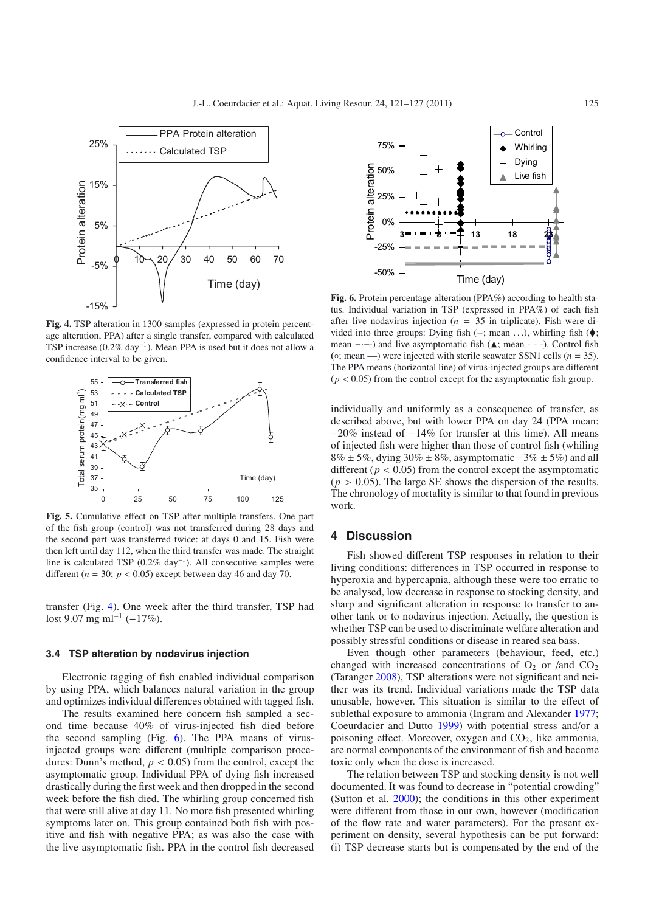<span id="page-4-0"></span>

<span id="page-4-1"></span>**Fig. 4.** TSP alteration in 1300 samples (expressed in protein percentage alteration, PPA) after a single transfer, compared with calculated TSP increase (0.2% day−1). Mean PPA is used but it does not allow a confidence interval to be given.



**Fig. 5.** Cumulative effect on TSP after multiple transfers. One part of the fish group (control) was not transferred during 28 days and the second part was transferred twice: at days 0 and 15. Fish were then left until day 112, when the third transfer was made. The straight line is calculated TSP (0.2% day−1). All consecutive samples were different ( $n = 30$ ;  $p < 0.05$ ) except between day 46 and day 70.

transfer (Fig. [4\)](#page-4-0). One week after the third transfer, TSP had lost 9.07 mg ml<sup>-1</sup> (−17%).

#### **3.4 TSP alteration by nodavirus injection**

Electronic tagging of fish enabled individual comparison by using PPA, which balances natural variation in the group and optimizes individual differences obtained with tagged fish.

The results examined here concern fish sampled a second time because 40% of virus-injected fish died before the second sampling (Fig. [6\)](#page-4-2). The PPA means of virusinjected groups were different (multiple comparison procedures: Dunn's method,  $p < 0.05$ ) from the control, except the asymptomatic group. Individual PPA of dying fish increased drastically during the first week and then dropped in the second week before the fish died. The whirling group concerned fish that were still alive at day 11. No more fish presented whirling symptoms later on. This group contained both fish with positive and fish with negative PPA; as was also the case with the live asymptomatic fish. PPA in the control fish decreased

<span id="page-4-2"></span>

**Fig. 6.** Protein percentage alteration (PPA%) according to health status. Individual variation in TSP (expressed in PPA%) of each fish after live nodavirus injection ( $n = 35$  in triplicate). Fish were divided into three groups: Dying fish  $(+; \text{mean} \dots)$ , whirling fish  $(\blacklozenge;$ mean ----) and live asymptomatic fish ( $\blacktriangle$ ; mean - - -). Control fish **(**◦; mean —) were injected with sterile seawater SSN1 cells (*n* = 35). The PPA means (horizontal line) of virus-injected groups are different  $(p < 0.05)$  from the control except for the asymptomatic fish group.

individually and uniformly as a consequence of transfer, as described above, but with lower PPA on day 24 (PPA mean: −20% instead of −14% for transfer at this time). All means of injected fish were higher than those of control fish (whiling  $8\% \pm 5\%$ , dying 30%  $\pm 8\%$ , asymptomatic  $-3\% \pm 5\%$ ) and all different ( $p < 0.05$ ) from the control except the asymptomatic  $(p > 0.05)$ . The large SE shows the dispersion of the results. The chronology of mortality is similar to that found in previous work.

## **4 Discussion**

Fish showed different TSP responses in relation to their living conditions: differences in TSP occurred in response to hyperoxia and hypercapnia, although these were too erratic to be analysed, low decrease in response to stocking density, and sharp and significant alteration in response to transfer to another tank or to nodavirus injection. Actually, the question is whether TSP can be used to discriminate welfare alteration and possibly stressful conditions or disease in reared sea bass.

Even though other parameters (behaviour, feed, etc.) changed with increased concentrations of  $O_2$  or /and  $CO_2$ (Taranger [2008\)](#page-6-0), TSP alterations were not significant and neither was its trend. Individual variations made the TSP data unusable, however. This situation is similar to the effect of sublethal exposure to ammonia (Ingram and Alexander [1977;](#page-6-16) Coeurdacier and Dutto [1999\)](#page-6-9) with potential stress and/or a poisoning effect. Moreover, oxygen and  $CO<sub>2</sub>$ , like ammonia, are normal components of the environment of fish and become toxic only when the dose is increased.

The relation between TSP and stocking density is not well documented. It was found to decrease in "potential crowding" (Sutton et al. [2000\)](#page-6-8); the conditions in this other experiment were different from those in our own, however (modification of the flow rate and water parameters). For the present experiment on density, several hypothesis can be put forward: (i) TSP decrease starts but is compensated by the end of the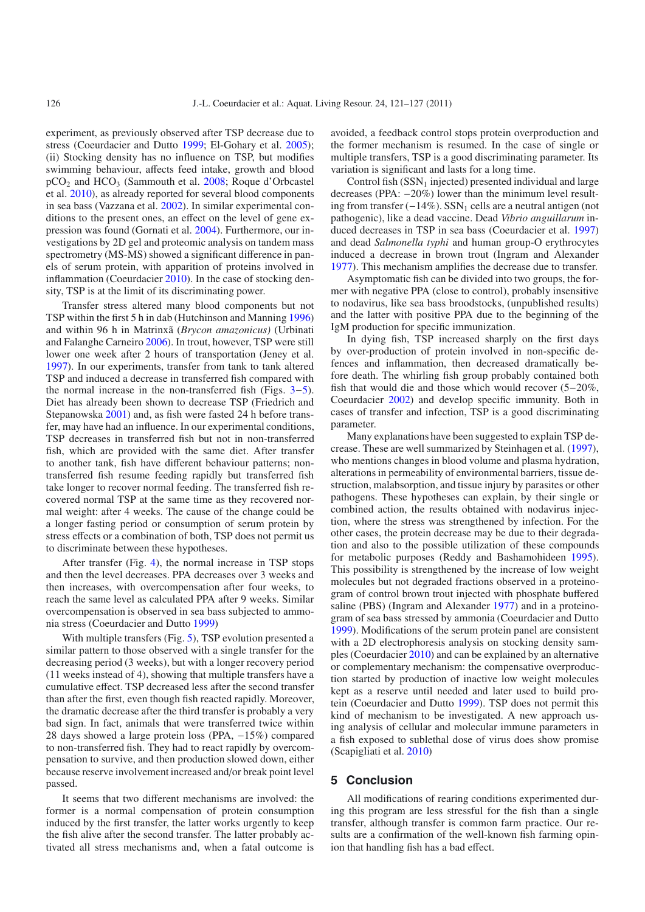experiment, as previously observed after TSP decrease due to stress (Coeurdacier and Dutto [1999;](#page-6-9) El-Gohary et al. [2005\)](#page-6-6); (ii) Stocking density has no influence on TSP, but modifies swimming behaviour, affects feed intake, growth and blood pCO2 and HCO3 (Sammouth et al. [2008;](#page-6-1) Roque d'Orbcastel et al. [2010\)](#page-6-2), as already reported for several blood components in sea bass (Vazzana et al. [2002\)](#page-6-19). In similar experimental conditions to the present ones, an effect on the level of gene expression was found (Gornati et al. [2004\)](#page-6-20). Furthermore, our investigations by 2D gel and proteomic analysis on tandem mass spectrometry (MS-MS) showed a significant difference in panels of serum protein, with apparition of proteins involved in inflammation (Coeurdacier [2010\)](#page-6-2). In the case of stocking density, TSP is at the limit of its discriminating power.

Transfer stress altered many blood components but not TSP within the first 5 h in dab (Hutchinson and Manning [1996\)](#page-6-11) and within 96 h in Matrinxã (*Brycon amazonicus)* (Urbinati and Falanghe Carneiro [2006\)](#page-6-13). In trout, however, TSP were still lower one week after 2 hours of transportation (Jeney et al. [1997\)](#page-6-14). In our experiments, transfer from tank to tank altered TSP and induced a decrease in transferred fish compared with the normal increase in the non-transferred fish (Figs. [3](#page-3-2)−[5\)](#page-4-1). Diet has already been shown to decrease TSP (Friedrich and Stepanowska [2001\)](#page-6-7) and, as fish were fasted 24 h before transfer, may have had an influence. In our experimental conditions, TSP decreases in transferred fish but not in non-transferred fish, which are provided with the same diet. After transfer to another tank, fish have different behaviour patterns; nontransferred fish resume feeding rapidly but transferred fish take longer to recover normal feeding. The transferred fish recovered normal TSP at the same time as they recovered normal weight: after 4 weeks. The cause of the change could be a longer fasting period or consumption of serum protein by stress effects or a combination of both, TSP does not permit us to discriminate between these hypotheses.

After transfer (Fig. [4\)](#page-4-0), the normal increase in TSP stops and then the level decreases. PPA decreases over 3 weeks and then increases, with overcompensation after four weeks, to reach the same level as calculated PPA after 9 weeks. Similar overcompensation is observed in sea bass subjected to ammonia stress (Coeurdacier and Dutto [1999](#page-6-9))

With multiple transfers (Fig. [5\)](#page-4-1), TSP evolution presented a similar pattern to those observed with a single transfer for the decreasing period (3 weeks), but with a longer recovery period (11 weeks instead of 4), showing that multiple transfers have a cumulative effect. TSP decreased less after the second transfer than after the first, even though fish reacted rapidly. Moreover, the dramatic decrease after the third transfer is probably a very bad sign. In fact, animals that were transferred twice within 28 days showed a large protein loss (PPA, −15%) compared to non-transferred fish. They had to react rapidly by overcompensation to survive, and then production slowed down, either because reserve involvement increased and/or break point level passed.

It seems that two different mechanisms are involved: the former is a normal compensation of protein consumption induced by the first transfer, the latter works urgently to keep the fish alive after the second transfer. The latter probably activated all stress mechanisms and, when a fatal outcome is

avoided, a feedback control stops protein overproduction and the former mechanism is resumed. In the case of single or multiple transfers, TSP is a good discriminating parameter. Its variation is significant and lasts for a long time.

Control fish  $(SSN<sub>1</sub>$  injected) presented individual and large decreases (PPA: −20%) lower than the minimum level resulting from transfer  $(-14\%)$ . SSN<sub>1</sub> cells are a neutral antigen (not pathogenic), like a dead vaccine. Dead *Vibrio anguillarum* induced decreases in TSP in sea bass (Coeurdacier et al. [1997\)](#page-6-18) and dead *Salmonella typhi* and human group-O erythrocytes induced a decrease in brown trout (Ingram and Alexander [1977\)](#page-6-16). This mechanism amplifies the decrease due to transfer.

Asymptomatic fish can be divided into two groups, the former with negative PPA (close to control), probably insensitive to nodavirus, like sea bass broodstocks, (unpublished results) and the latter with positive PPA due to the beginning of the IgM production for specific immunization.

In dying fish, TSP increased sharply on the first days by over-production of protein involved in non-specific defences and inflammation, then decreased dramatically before death. The whirling fish group probably contained both fish that would die and those which would recover (5−20%, Coeurdacier [2002\)](#page-6-21) and develop specific immunity. Both in cases of transfer and infection, TSP is a good discriminating parameter.

Many explanations have been suggested to explain TSP decrease. These are well summarized by Steinhagen et al. [\(1997\)](#page-6-15), who mentions changes in blood volume and plasma hydration, alterations in permeability of environmental barriers, tissue destruction, malabsorption, and tissue injury by parasites or other pathogens. These hypotheses can explain, by their single or combined action, the results obtained with nodavirus injection, where the stress was strengthened by infection. For the other cases, the protein decrease may be due to their degradation and also to the possible utilization of these compounds for metabolic purposes (Reddy and Bashamohideen [1995\)](#page-6-22). This possibility is strengthened by the increase of low weight molecules but not degraded fractions observed in a proteinogram of control brown trout injected with phosphate buffered saline (PBS) (Ingram and Alexander [1977\)](#page-6-16) and in a proteinogram of sea bass stressed by ammonia (Coeurdacier and Dutto [1999\)](#page-6-9). Modifications of the serum protein panel are consistent with a 2D electrophoresis analysis on stocking density samples (Coeurdacier [2010\)](#page-6-2) and can be explained by an alternative or complementary mechanism: the compensative overproduction started by production of inactive low weight molecules kept as a reserve until needed and later used to build protein (Coeurdacier and Dutto [1999\)](#page-6-9). TSP does not permit this kind of mechanism to be investigated. A new approach using analysis of cellular and molecular immune parameters in a fish exposed to sublethal dose of virus does show promise (Scapigliati et al. [2010\)](#page-6-23)

## **5 Conclusion**

All modifications of rearing conditions experimented during this program are less stressful for the fish than a single transfer, although transfer is common farm practice. Our results are a confirmation of the well-known fish farming opinion that handling fish has a bad effect.